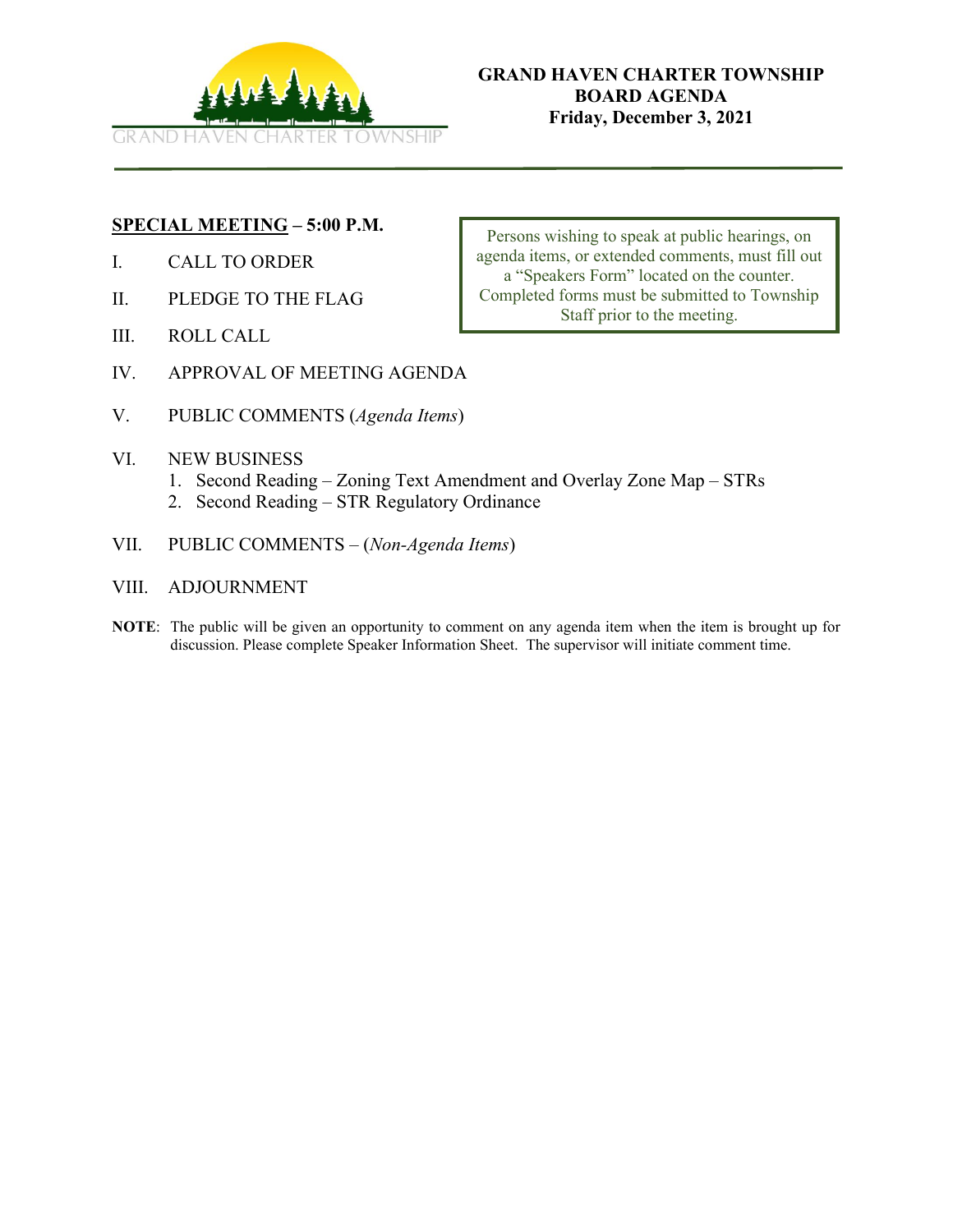

# **SPECIAL MEETING – 5:00 P.M.**

- I. CALL TO ORDER
- II. PLEDGE TO THE FLAG
- III. ROLL CALL
- IV. APPROVAL OF MEETING AGENDA
- V. PUBLIC COMMENTS (*Agenda Items*)
- VI. NEW BUSINESS
	- 1. Second Reading Zoning Text Amendment and Overlay Zone Map STRs
	- 2. Second Reading STR Regulatory Ordinance
- VII. PUBLIC COMMENTS (*Non-Agenda Items*)
- VIII. ADJOURNMENT
- **NOTE**: The public will be given an opportunity to comment on any agenda item when the item is brought up for discussion. Please complete Speaker Information Sheet. The supervisor will initiate comment time.

Persons wishing to speak at public hearings, on agenda items, or extended comments, must fill out a "Speakers Form" located on the counter. Completed forms must be submitted to Township Staff prior to the meeting.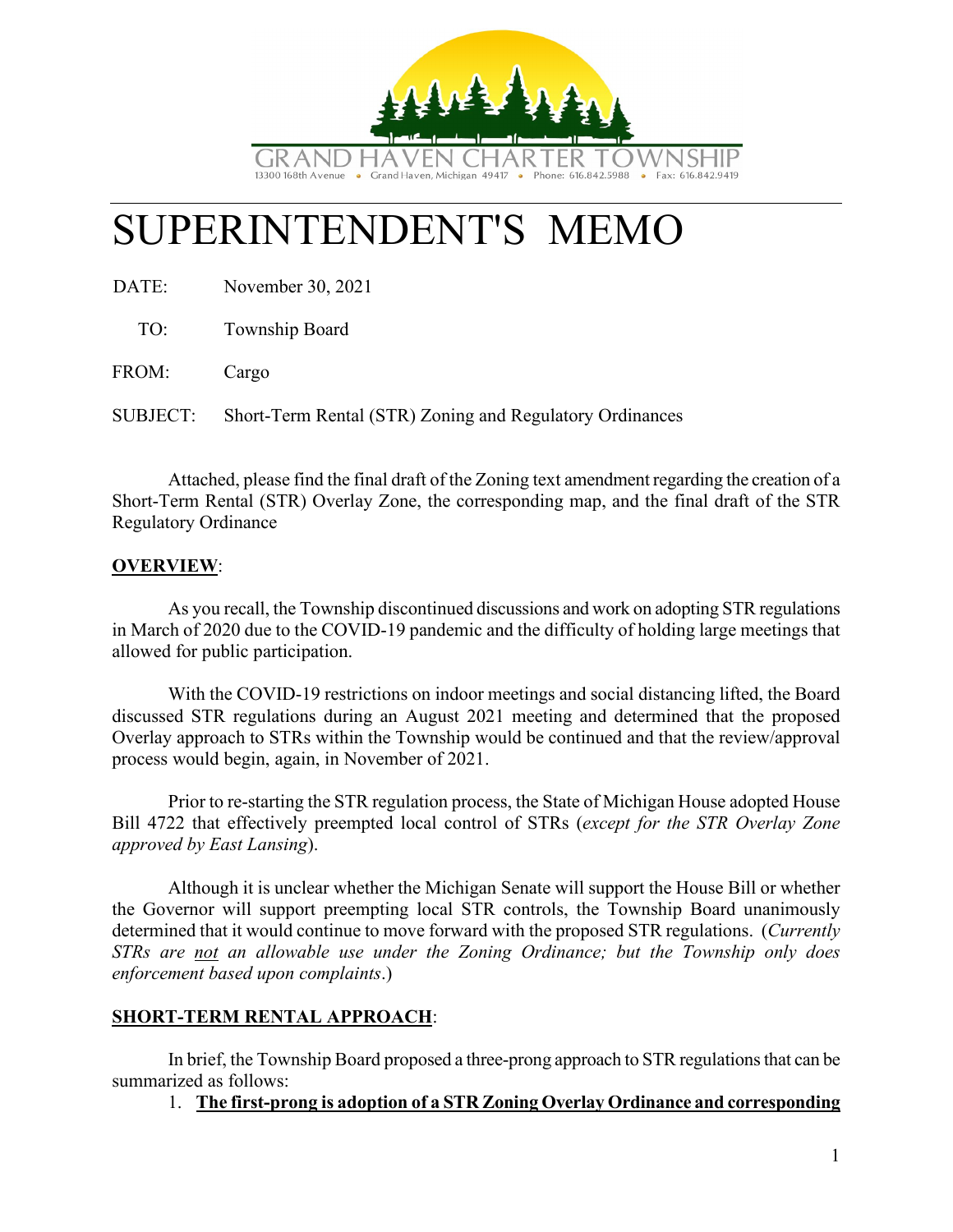

# SUPERINTENDENT'S MEMO

DATE: November 30, 2021

TO: Township Board

FROM: Cargo

SUBJECT: Short-Term Rental (STR) Zoning and Regulatory Ordinances

Attached, please find the final draft of the Zoning text amendment regarding the creation of a Short-Term Rental (STR) Overlay Zone, the corresponding map, and the final draft of the STR Regulatory Ordinance

# **OVERVIEW**:

As you recall, the Township discontinued discussions and work on adopting STR regulations in March of 2020 due to the COVID-19 pandemic and the difficulty of holding large meetings that allowed for public participation.

With the COVID-19 restrictions on indoor meetings and social distancing lifted, the Board discussed STR regulations during an August 2021 meeting and determined that the proposed Overlay approach to STRs within the Township would be continued and that the review/approval process would begin, again, in November of 2021.

Prior to re-starting the STR regulation process, the State of Michigan House adopted House Bill 4722 that effectively preempted local control of STRs (*except for the STR Overlay Zone approved by East Lansing*).

Although it is unclear whether the Michigan Senate will support the House Bill or whether the Governor will support preempting local STR controls, the Township Board unanimously determined that it would continue to move forward with the proposed STR regulations. (*Currently STRs are not an allowable use under the Zoning Ordinance; but the Township only does enforcement based upon complaints*.)

# **SHORT-TERM RENTAL APPROACH**:

In brief, the Township Board proposed a three-prong approach to STR regulations that can be summarized as follows:

# 1. **The first-prong is adoption of a STR Zoning Overlay Ordinance and corresponding**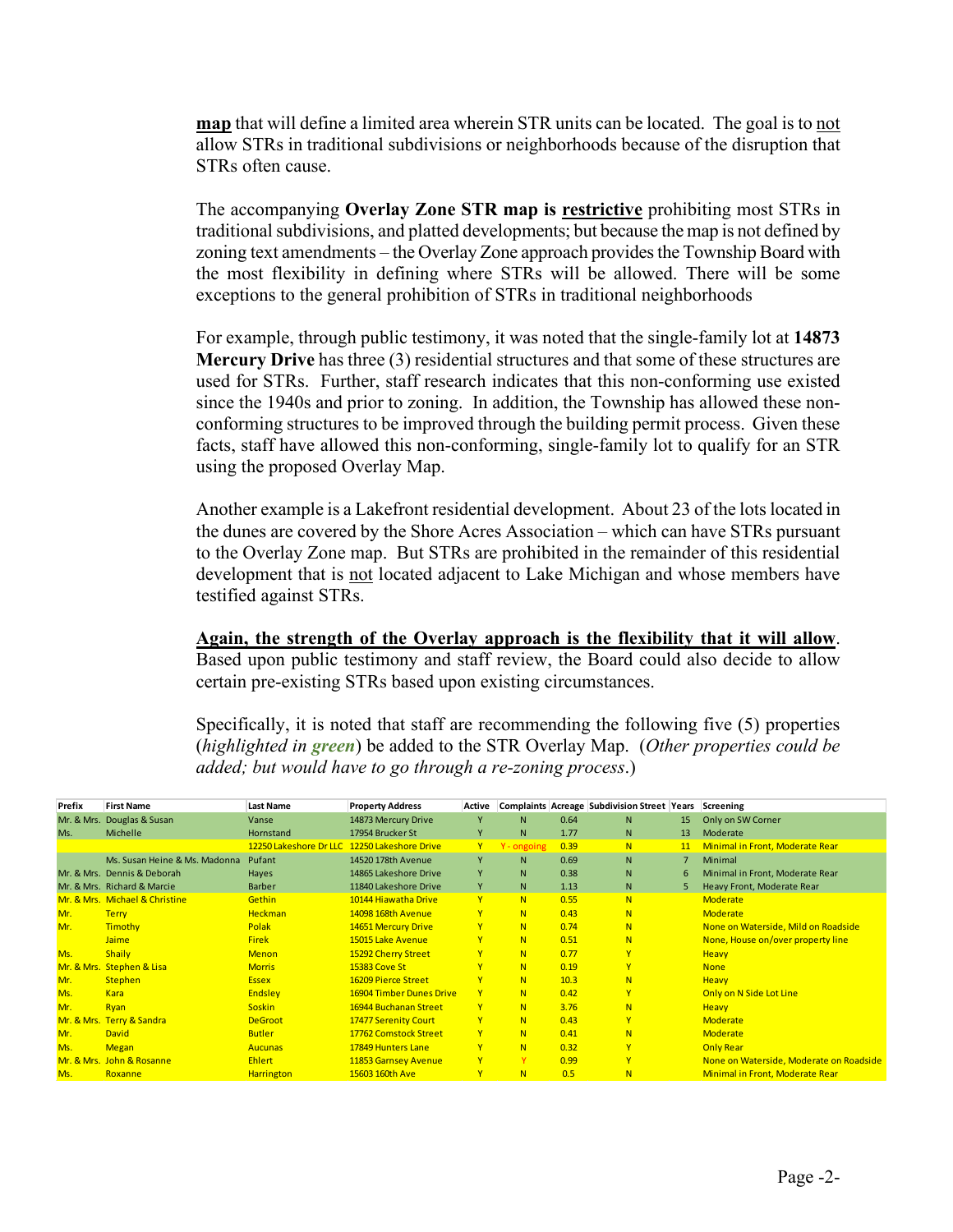**map** that will define a limited area wherein STR units can be located. The goal is to not allow STRs in traditional subdivisions or neighborhoods because of the disruption that STRs often cause.

The accompanying **Overlay Zone STR map is restrictive** prohibiting most STRs in traditional subdivisions, and platted developments; but because the map is not defined by zoning text amendments – the Overlay Zone approach provides the Township Board with the most flexibility in defining where STRs will be allowed. There will be some exceptions to the general prohibition of STRs in traditional neighborhoods

For example, through public testimony, it was noted that the single-family lot at **14873 Mercury Drive** has three (3) residential structures and that some of these structures are used for STRs. Further, staff research indicates that this non-conforming use existed since the 1940s and prior to zoning. In addition, the Township has allowed these nonconforming structures to be improved through the building permit process. Given these facts, staff have allowed this non-conforming, single-family lot to qualify for an STR using the proposed Overlay Map.

Another example is a Lakefront residential development. About 23 of the lots located in the dunes are covered by the Shore Acres Association – which can have STRs pursuant to the Overlay Zone map. But STRs are prohibited in the remainder of this residential development that is not located adjacent to Lake Michigan and whose members have testified against STRs.

**Again, the strength of the Overlay approach is the flexibility that it will allow**. Based upon public testimony and staff review, the Board could also decide to allow certain pre-existing STRs based upon existing circumstances.

Specifically, it is noted that staff are recommending the following five (5) properties (*highlighted in green*) be added to the STR Overlay Map. (*Other properties could be added; but would have to go through a re-zoning process*.)

| Prefix     | <b>First Name</b>              | <b>Last Name</b>       | <b>Property Address</b>  | Active       |             |      | Complaints Acreage Subdivision Street Years |    | Screening                               |
|------------|--------------------------------|------------------------|--------------------------|--------------|-------------|------|---------------------------------------------|----|-----------------------------------------|
| Mr. & Mrs. | Douglas & Susan                | Vanse                  | 14873 Mercury Drive      | Y            | N.          | 0.64 | N                                           | 15 | Only on SW Corner                       |
| Ms.        | Michelle                       | Hornstand              | 17954 Brucker St         | Y            | N.          | 1.77 | N                                           | 13 | Moderate                                |
|            |                                | 12250 Lakeshore Dr LLC | 12250 Lakeshore Drive    | Y.           | Y - ongoing | 0.39 | N                                           | 11 | Minimal in Front, Moderate Rear         |
|            | Ms. Susan Heine & Ms. Madonna  | Pufant                 | 14520 178th Avenue       | Y            | N.          | 0.69 | N                                           |    | Minimal                                 |
|            | Mr. & Mrs. Dennis & Deborah    | Hayes                  | 14865 Lakeshore Drive    | Y            | N.          | 0.38 | N                                           | 6  | Minimal in Front, Moderate Rear         |
|            | Mr. & Mrs. Richard & Marcie    | Barber                 | 11840 Lakeshore Drive    | Y            | N.          | 1.13 | N                                           |    | Heavy Front, Moderate Rear              |
|            | Mr. & Mrs. Michael & Christine | Gethin                 | 10144 Hiawatha Drive     | <b>Y</b>     | N           | 0.55 | N                                           |    | <b>Moderate</b>                         |
| Mr.        | <b>Terry</b>                   | <b>Heckman</b>         | 14098 168th Avenue       | Y            | N           | 0.43 | N                                           |    | <b>Moderate</b>                         |
| Mr.        | Timothy                        | Polak                  | 14651 Mercury Drive      | Y            | N           | 0.74 | N                                           |    | None on Waterside, Mild on Roadside     |
|            | Jaime                          | <b>Firek</b>           | 15015 Lake Avenue        | Y            | N           | 0.51 | N                                           |    | None, House on/over property line       |
| Ms.        | Shaily                         | <b>Menon</b>           | 15292 Cherry Street      | Y            | N           | 0.77 | Y                                           |    | <b>Heavy</b>                            |
| Mr. & Mrs. | <b>Stephen &amp; Lisa</b>      | <b>Morris</b>          | <b>15383 Cove St</b>     | Ÿ            | N.          | 0.19 | Y                                           |    | <b>None</b>                             |
| Mr.        | <b>Stephen</b>                 | <b>Essex</b>           | 16209 Pierce Street      | Y            | N           | 10.3 | N                                           |    | <b>Heavy</b>                            |
| Ms.        | <b>Kara</b>                    | Endsley                | 16904 Timber Dunes Drive | Y.           | N           | 0.42 | Y                                           |    | Only on N Side Lot Line                 |
| Mr.        | Ryan                           | <b>Soskin</b>          | 16944 Buchanan Street    | Y.           | N           | 3.76 | N                                           |    | <b>Heavy</b>                            |
| Mr. & Mrs. | <b>Terry &amp; Sandra</b>      | <b>DeGroot</b>         | 17477 Serenity Court     | Y            | N           | 0.43 | Y                                           |    | Moderate                                |
| Mr.        | <b>David</b>                   | <b>Butler</b>          | 17762 Comstock Street    | Y            | N           | 0.41 | N                                           |    | <b>Moderate</b>                         |
| Ms.        | <b>Megan</b>                   | <b>Aucunas</b>         | 17849 Hunters Lane       | Y            | N           | 0.32 | Y                                           |    | <b>Only Rear</b>                        |
|            | Mr. & Mrs. John & Rosanne      | <b>Ehlert</b>          | 11853 Garnsey Avenue     | $\mathbf{Y}$ | Y           | 0.99 | Y                                           |    | None on Waterside, Moderate on Roadside |
| Ms.        | Roxanne                        | <b>Harrington</b>      | 15603 160th Ave          | Y            | N           | 0.5  | N                                           |    | Minimal in Front, Moderate Rear         |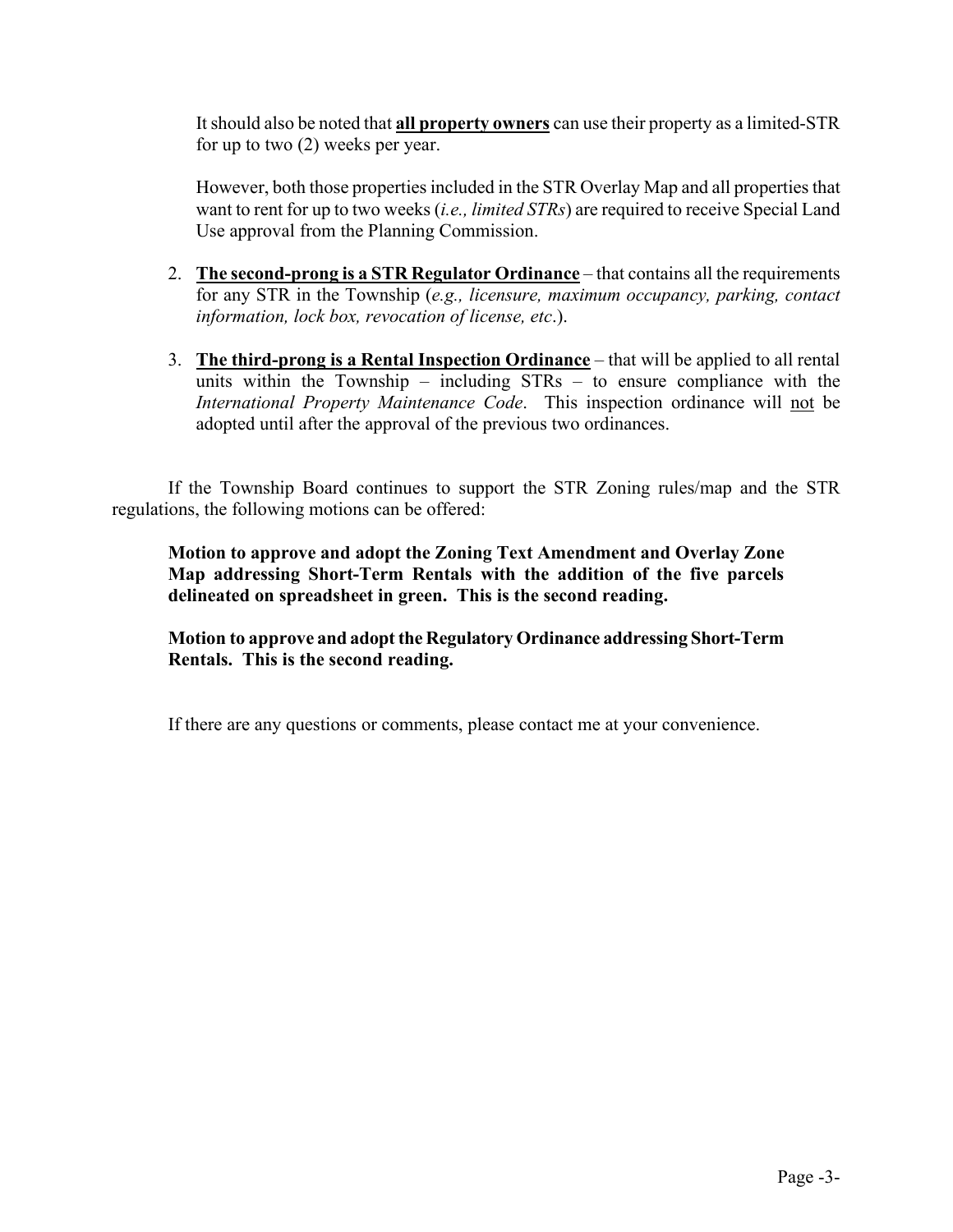It should also be noted that **all property owners** can use their property as a limited-STR for up to two  $(2)$  weeks per year.

However, both those properties included in the STR Overlay Map and all properties that want to rent for up to two weeks (*i.e., limited STRs*) are required to receive Special Land Use approval from the Planning Commission.

- 2. **The second-prong is a STR Regulator Ordinance** that contains all the requirements for any STR in the Township (*e.g., licensure, maximum occupancy, parking, contact information, lock box, revocation of license, etc*.).
- 3. **The third-prong is a Rental Inspection Ordinance** that will be applied to all rental units within the Township – including STRs – to ensure compliance with the *International Property Maintenance Code*. This inspection ordinance will not be adopted until after the approval of the previous two ordinances.

If the Township Board continues to support the STR Zoning rules/map and the STR regulations, the following motions can be offered:

**Motion to approve and adopt the Zoning Text Amendment and Overlay Zone Map addressing Short-Term Rentals with the addition of the five parcels delineated on spreadsheet in green. This is the second reading.**

**Motion to approve and adopt the Regulatory Ordinance addressing Short-Term Rentals. This is the second reading.**

If there are any questions or comments, please contact me at your convenience.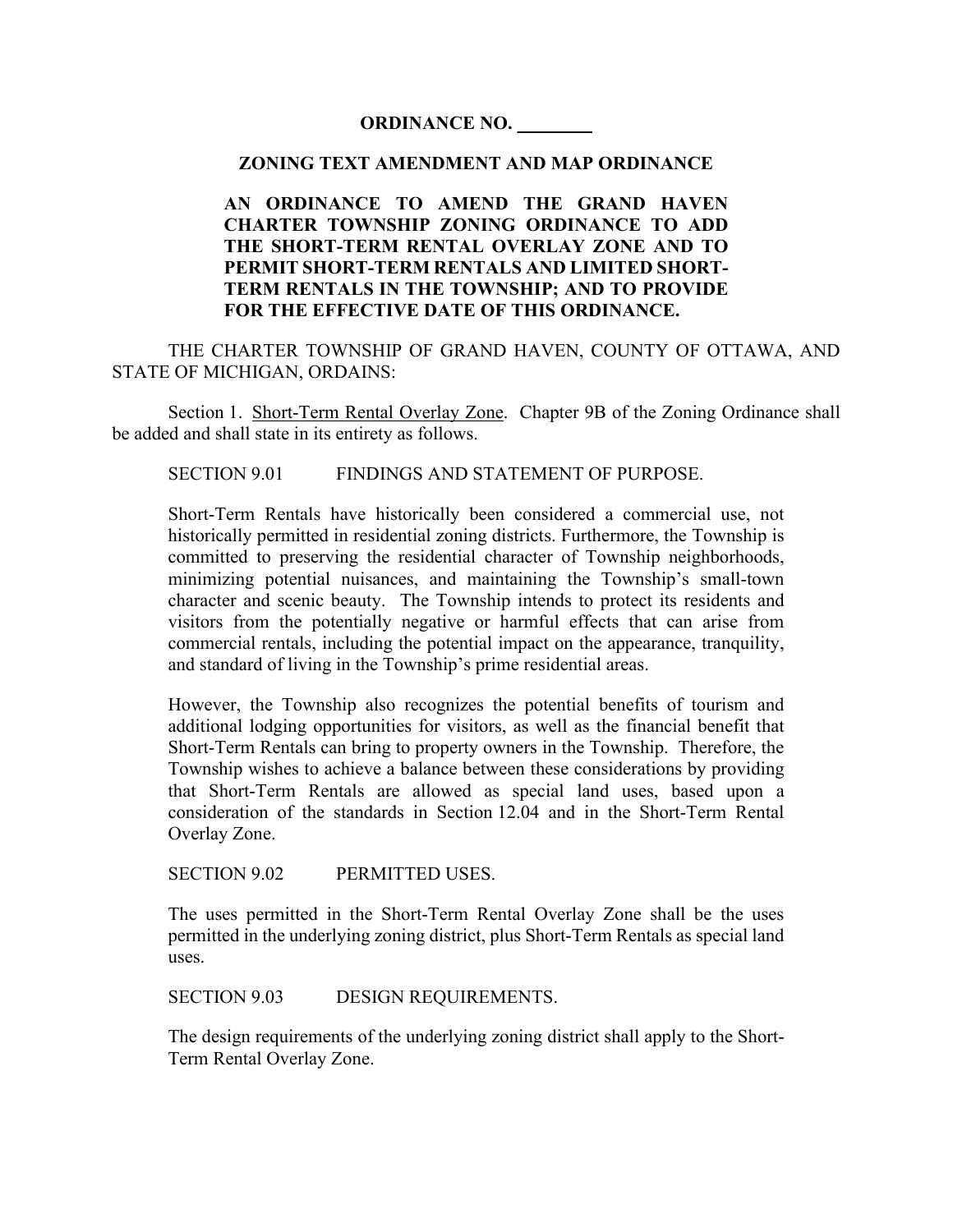# **ORDINANCE NO. \_\_\_\_\_\_\_\_**

# **ZONING TEXT AMENDMENT AND MAP ORDINANCE**

# **AN ORDINANCE TO AMEND THE GRAND HAVEN CHARTER TOWNSHIP ZONING ORDINANCE TO ADD THE SHORT-TERM RENTAL OVERLAY ZONE AND TO PERMIT SHORT-TERM RENTALS AND LIMITED SHORT-TERM RENTALS IN THE TOWNSHIP; AND TO PROVIDE FOR THE EFFECTIVE DATE OF THIS ORDINANCE.**

THE CHARTER TOWNSHIP OF GRAND HAVEN, COUNTY OF OTTAWA, AND STATE OF MICHIGAN, ORDAINS:

Section 1. Short-Term Rental Overlay Zone. Chapter 9B of the Zoning Ordinance shall be added and shall state in its entirety as follows.

SECTION 9.01 FINDINGS AND STATEMENT OF PURPOSE.

Short-Term Rentals have historically been considered a commercial use, not historically permitted in residential zoning districts. Furthermore, the Township is committed to preserving the residential character of Township neighborhoods, minimizing potential nuisances, and maintaining the Township's small-town character and scenic beauty. The Township intends to protect its residents and visitors from the potentially negative or harmful effects that can arise from commercial rentals, including the potential impact on the appearance, tranquility, and standard of living in the Township's prime residential areas.

However, the Township also recognizes the potential benefits of tourism and additional lodging opportunities for visitors, as well as the financial benefit that Short-Term Rentals can bring to property owners in the Township. Therefore, the Township wishes to achieve a balance between these considerations by providing that Short-Term Rentals are allowed as special land uses, based upon a consideration of the standards in Section 12.04 and in the Short-Term Rental Overlay Zone.

SECTION 9.02 PERMITTED USES.

The uses permitted in the Short-Term Rental Overlay Zone shall be the uses permitted in the underlying zoning district, plus Short-Term Rentals as special land uses.

SECTION 9.03 DESIGN REQUIREMENTS.

The design requirements of the underlying zoning district shall apply to the Short-Term Rental Overlay Zone.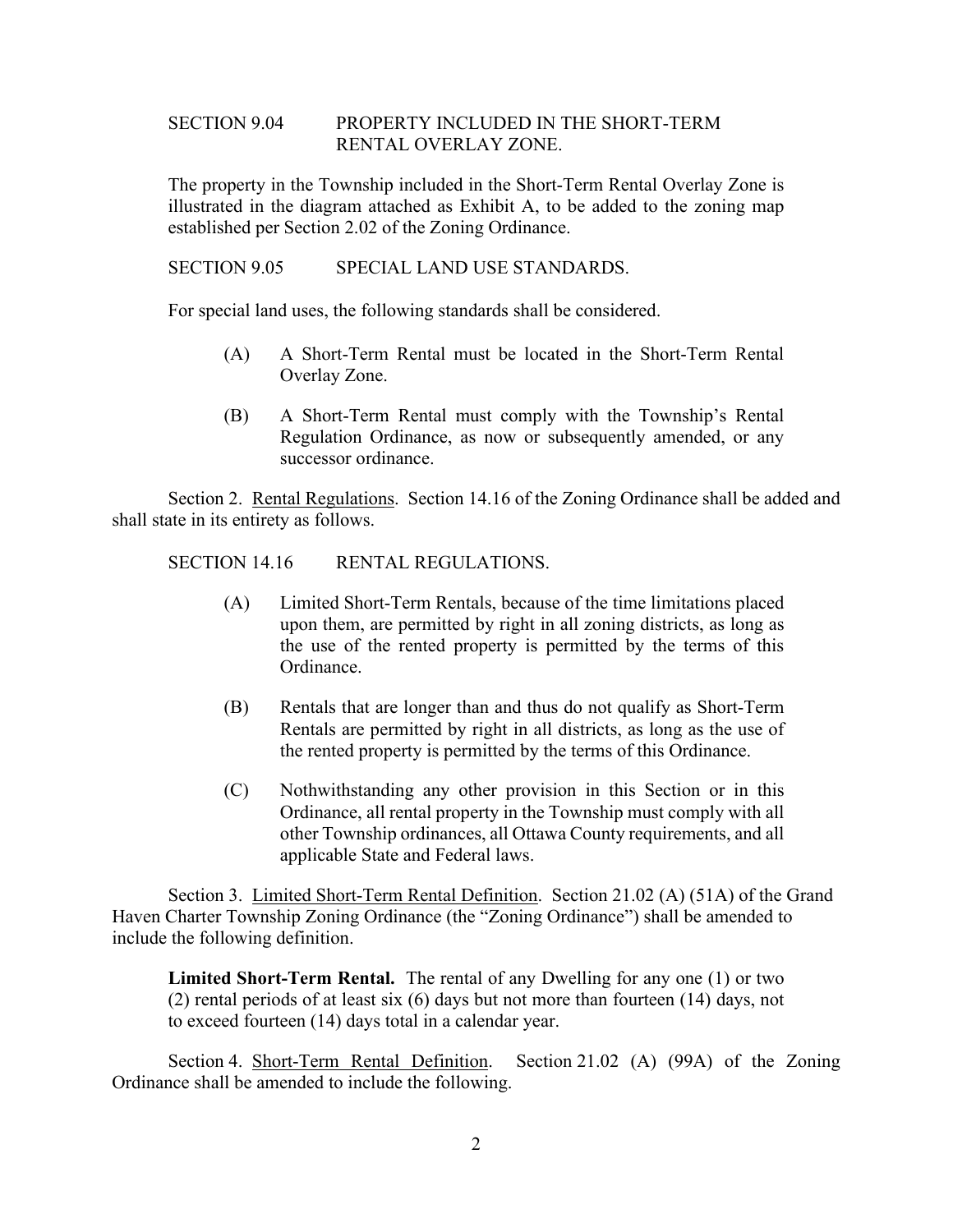## SECTION 9.04 PROPERTY INCLUDED IN THE SHORT-TERM RENTAL OVERLAY ZONE.

The property in the Township included in the Short-Term Rental Overlay Zone is illustrated in the diagram attached as Exhibit A, to be added to the zoning map established per Section 2.02 of the Zoning Ordinance.

SECTION 9.05 SPECIAL LAND USE STANDARDS.

For special land uses, the following standards shall be considered.

- (A) A Short-Term Rental must be located in the Short-Term Rental Overlay Zone.
- (B) A Short-Term Rental must comply with the Township's Rental Regulation Ordinance, as now or subsequently amended, or any successor ordinance.

Section 2. Rental Regulations. Section 14.16 of the Zoning Ordinance shall be added and shall state in its entirety as follows.

SECTION 14.16 RENTAL REGULATIONS.

- (A) Limited Short-Term Rentals, because of the time limitations placed upon them, are permitted by right in all zoning districts, as long as the use of the rented property is permitted by the terms of this Ordinance.
- (B) Rentals that are longer than and thus do not qualify as Short-Term Rentals are permitted by right in all districts, as long as the use of the rented property is permitted by the terms of this Ordinance.
- (C) Nothwithstanding any other provision in this Section or in this Ordinance, all rental property in the Township must comply with all other Township ordinances, all Ottawa County requirements, and all applicable State and Federal laws.

Section 3. Limited Short-Term Rental Definition. Section 21.02 (A) (51A) of the Grand Haven Charter Township Zoning Ordinance (the "Zoning Ordinance") shall be amended to include the following definition.

**Limited Short-Term Rental.** The rental of any Dwelling for any one (1) or two (2) rental periods of at least six (6) days but not more than fourteen (14) days, not to exceed fourteen (14) days total in a calendar year.

Section 4. Short-Term Rental Definition. Section 21.02 (A) (99A) of the Zoning Ordinance shall be amended to include the following.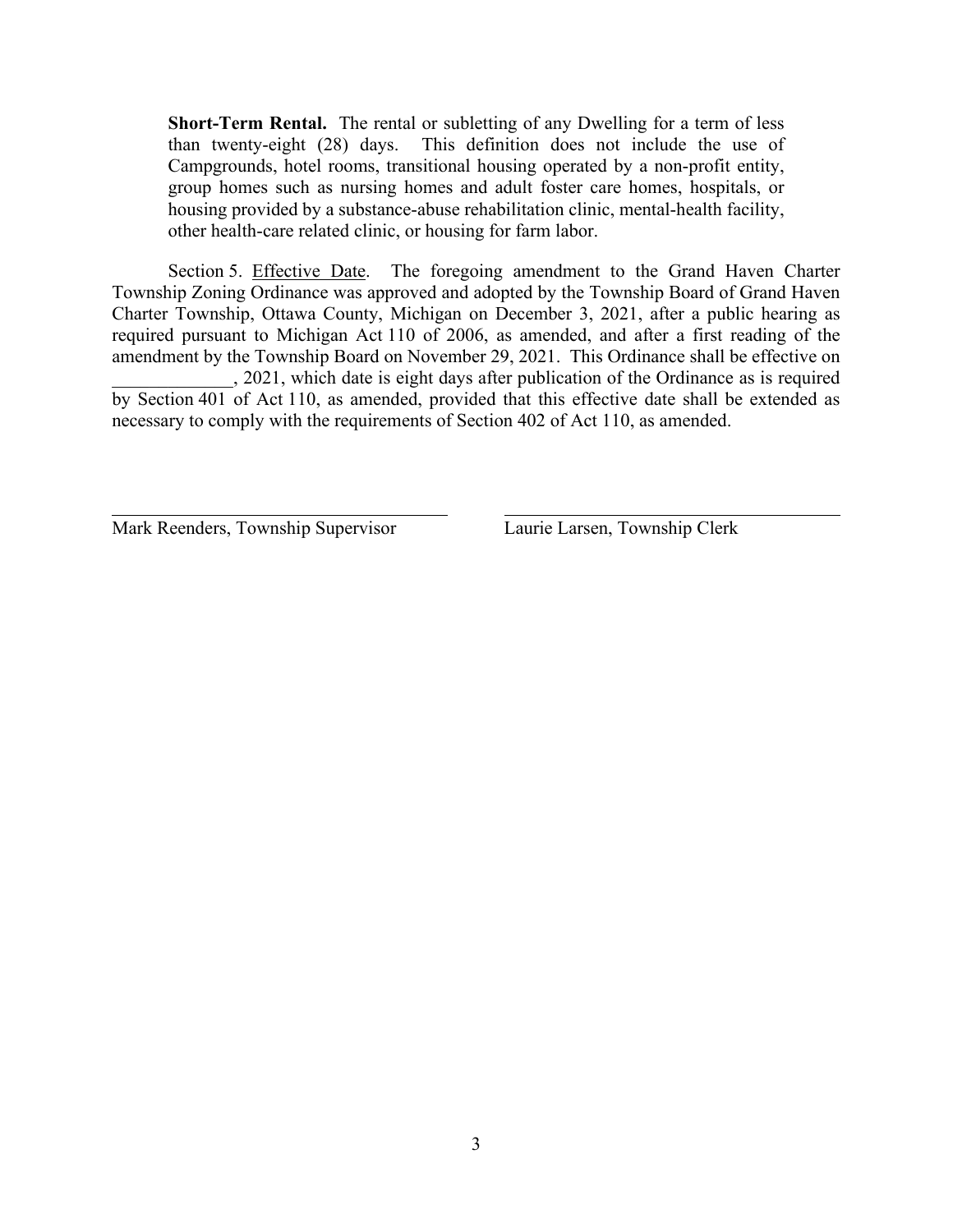**Short-Term Rental.** The rental or subletting of any Dwelling for a term of less than twenty-eight (28) days. This definition does not include the use of Campgrounds, hotel rooms, transitional housing operated by a non-profit entity, group homes such as nursing homes and adult foster care homes, hospitals, or housing provided by a substance-abuse rehabilitation clinic, mental-health facility, other health-care related clinic, or housing for farm labor.

Section 5. Effective Date. The foregoing amendment to the Grand Haven Charter Township Zoning Ordinance was approved and adopted by the Township Board of Grand Haven Charter Township, Ottawa County, Michigan on December 3, 2021, after a public hearing as required pursuant to Michigan Act 110 of 2006, as amended, and after a first reading of the amendment by the Township Board on November 29, 2021. This Ordinance shall be effective on \_\_\_\_\_\_\_\_\_\_\_\_\_, 2021, which date is eight days after publication of the Ordinance as is required

by Section 401 of Act 110, as amended, provided that this effective date shall be extended as necessary to comply with the requirements of Section 402 of Act 110, as amended.

Mark Reenders, Township Supervisor Laurie Larsen, Township Clerk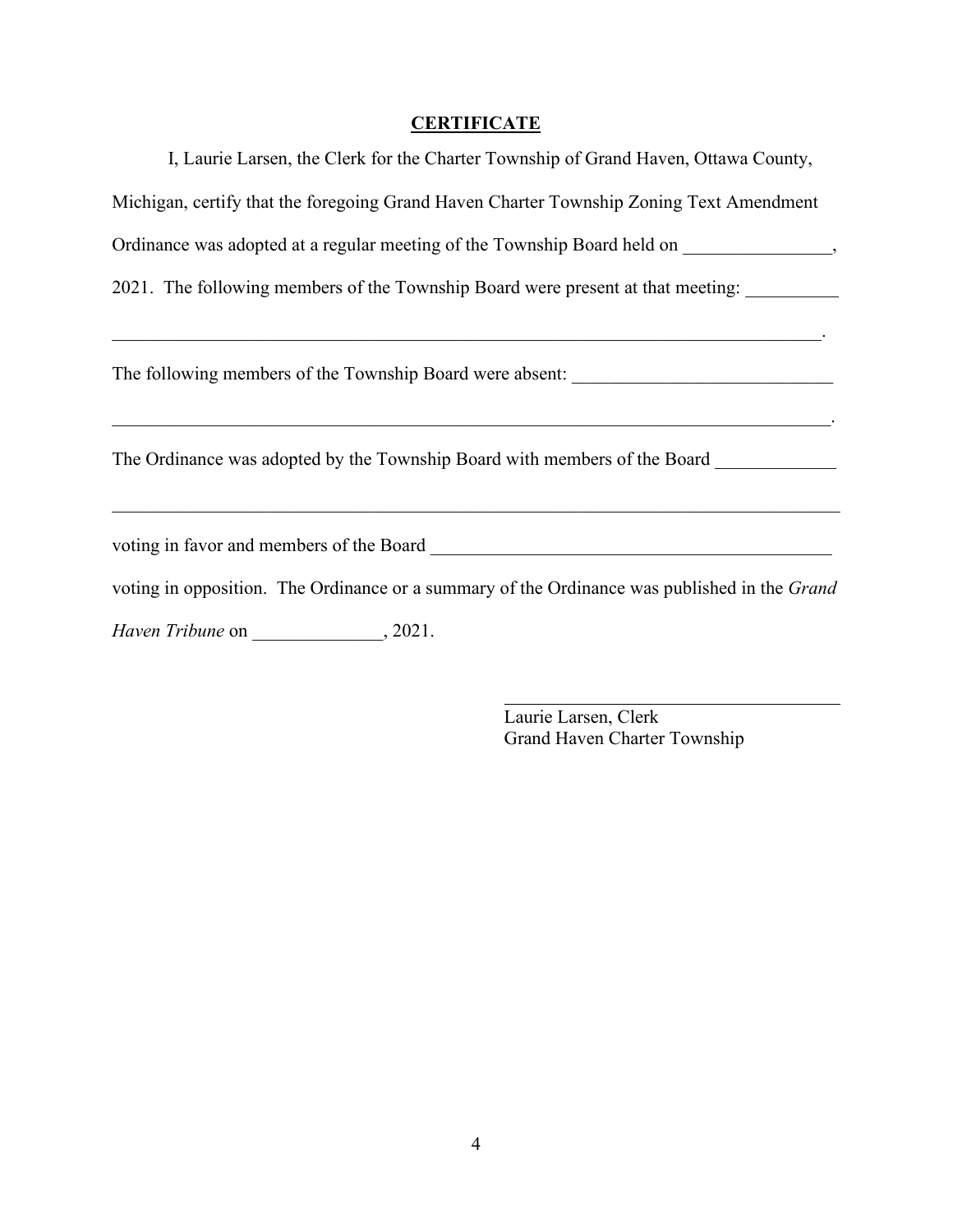# **CERTIFICATE**

| I, Laurie Larsen, the Clerk for the Charter Township of Grand Haven, Ottawa County,                                                                             |  |  |  |  |  |  |  |  |
|-----------------------------------------------------------------------------------------------------------------------------------------------------------------|--|--|--|--|--|--|--|--|
| Michigan, certify that the foregoing Grand Haven Charter Township Zoning Text Amendment                                                                         |  |  |  |  |  |  |  |  |
| Ordinance was adopted at a regular meeting of the Township Board held on _______________,                                                                       |  |  |  |  |  |  |  |  |
| 2021. The following members of the Township Board were present at that meeting:                                                                                 |  |  |  |  |  |  |  |  |
| <u> 1989 - Johann Stein, mars an deus Amerikaansk kommunister (* 1958)</u><br>The following members of the Township Board were absent: ________________________ |  |  |  |  |  |  |  |  |
| The Ordinance was adopted by the Township Board with members of the Board                                                                                       |  |  |  |  |  |  |  |  |
|                                                                                                                                                                 |  |  |  |  |  |  |  |  |
| voting in opposition. The Ordinance or a summary of the Ordinance was published in the Grand                                                                    |  |  |  |  |  |  |  |  |
| Haven Tribune on , 2021.                                                                                                                                        |  |  |  |  |  |  |  |  |

Laurie Larsen, Clerk Grand Haven Charter Township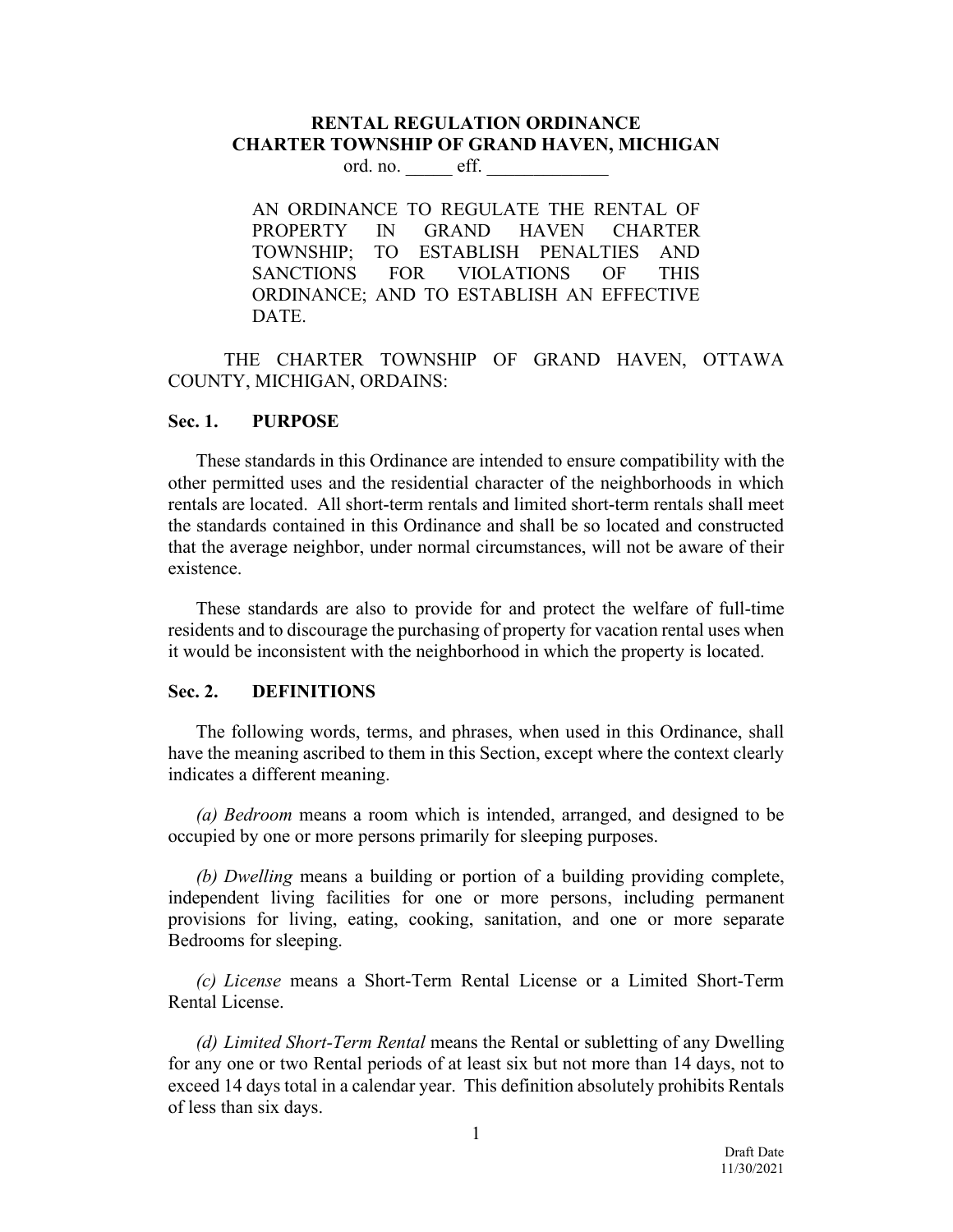# **RENTAL REGULATION ORDINANCE CHARTER TOWNSHIP OF GRAND HAVEN, MICHIGAN**

ord. no. eff.

AN ORDINANCE TO REGULATE THE RENTAL OF PROPERTY IN GRAND HAVEN CHARTER TOWNSHIP; TO ESTABLISH PENALTIES AND SANCTIONS FOR VIOLATIONS OF THIS ORDINANCE; AND TO ESTABLISH AN EFFECTIVE DATE.

THE CHARTER TOWNSHIP OF GRAND HAVEN, OTTAWA COUNTY, MICHIGAN, ORDAINS:

#### **Sec. 1. PURPOSE**

These standards in this Ordinance are intended to ensure compatibility with the other permitted uses and the residential character of the neighborhoods in which rentals are located. All short-term rentals and limited short-term rentals shall meet the standards contained in this Ordinance and shall be so located and constructed that the average neighbor, under normal circumstances, will not be aware of their existence.

These standards are also to provide for and protect the welfare of full-time residents and to discourage the purchasing of property for vacation rental uses when it would be inconsistent with the neighborhood in which the property is located.

#### **Sec. 2. DEFINITIONS**

The following words, terms, and phrases, when used in this Ordinance, shall have the meaning ascribed to them in this Section, except where the context clearly indicates a different meaning.

*(a) Bedroom* means a room which is intended, arranged, and designed to be occupied by one or more persons primarily for sleeping purposes.

*(b) Dwelling* means a building or portion of a building providing complete, independent living facilities for one or more persons, including permanent provisions for living, eating, cooking, sanitation, and one or more separate Bedrooms for sleeping.

*(c) License* means a Short-Term Rental License or a Limited Short-Term Rental License.

*(d) Limited Short-Term Rental* means the Rental or subletting of any Dwelling for any one or two Rental periods of at least six but not more than 14 days, not to exceed 14 days total in a calendar year. This definition absolutely prohibits Rentals of less than six days.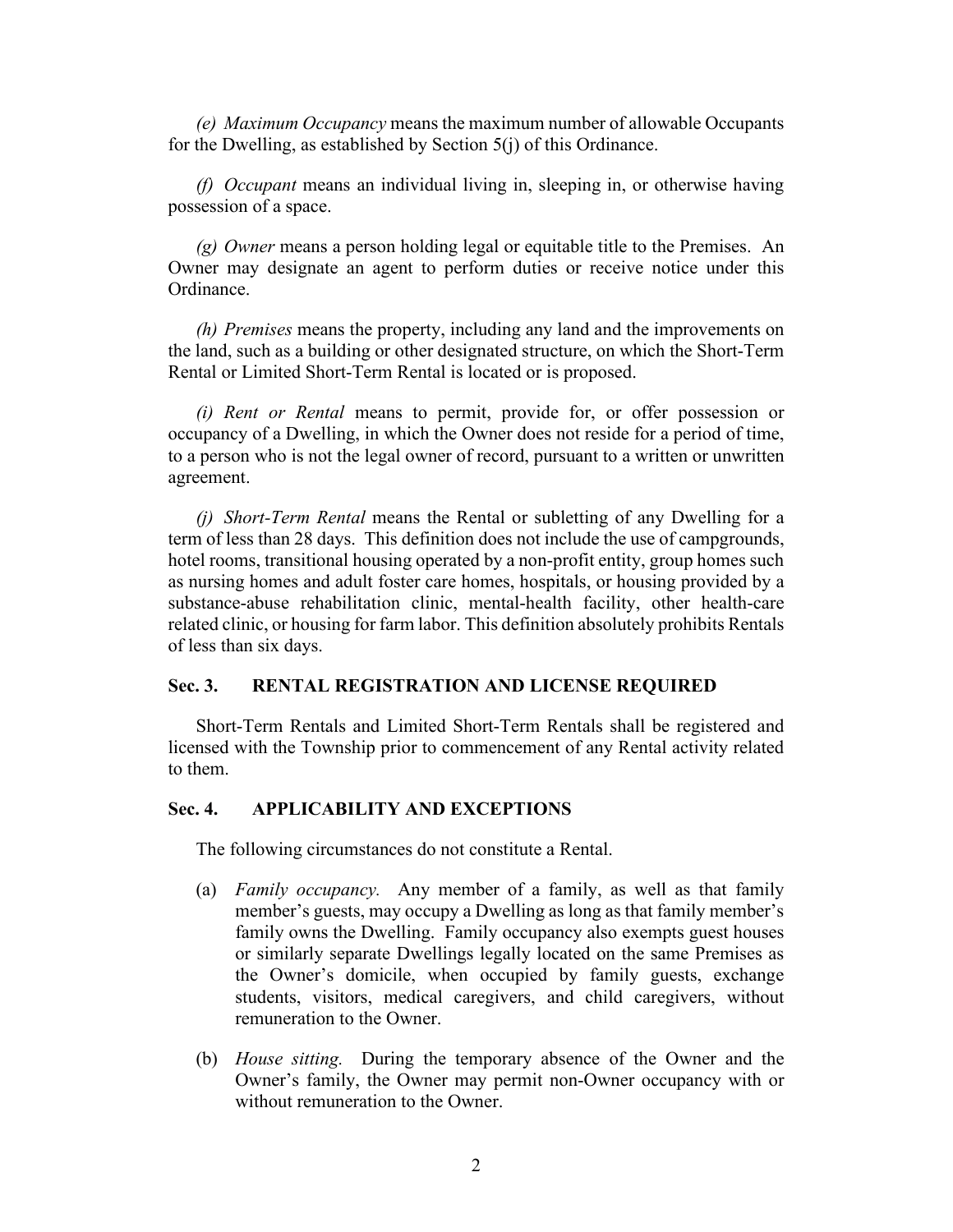*(e) Maximum Occupancy* means the maximum number of allowable Occupants for the Dwelling, as established by Section 5(j) of this Ordinance.

*(f) Occupant* means an individual living in, sleeping in, or otherwise having possession of a space.

*(g) Owner* means a person holding legal or equitable title to the Premises. An Owner may designate an agent to perform duties or receive notice under this Ordinance.

*(h) Premises* means the property, including any land and the improvements on the land, such as a building or other designated structure, on which the Short-Term Rental or Limited Short-Term Rental is located or is proposed.

*(i) Rent or Rental* means to permit, provide for, or offer possession or occupancy of a Dwelling, in which the Owner does not reside for a period of time, to a person who is not the legal owner of record, pursuant to a written or unwritten agreement.

*(j) Short-Term Rental* means the Rental or subletting of any Dwelling for a term of less than 28 days. This definition does not include the use of campgrounds, hotel rooms, transitional housing operated by a non-profit entity, group homes such as nursing homes and adult foster care homes, hospitals, or housing provided by a substance-abuse rehabilitation clinic, mental-health facility, other health-care related clinic, or housing for farm labor. This definition absolutely prohibits Rentals of less than six days.

#### **Sec. 3. RENTAL REGISTRATION AND LICENSE REQUIRED**

Short-Term Rentals and Limited Short-Term Rentals shall be registered and licensed with the Township prior to commencement of any Rental activity related to them.

#### **Sec. 4. APPLICABILITY AND EXCEPTIONS**

The following circumstances do not constitute a Rental.

- (a) *Family occupancy.* Any member of a family, as well as that family member's guests, may occupy a Dwelling as long as that family member's family owns the Dwelling. Family occupancy also exempts guest houses or similarly separate Dwellings legally located on the same Premises as the Owner's domicile, when occupied by family guests, exchange students, visitors, medical caregivers, and child caregivers, without remuneration to the Owner.
- (b) *House sitting.* During the temporary absence of the Owner and the Owner's family, the Owner may permit non-Owner occupancy with or without remuneration to the Owner.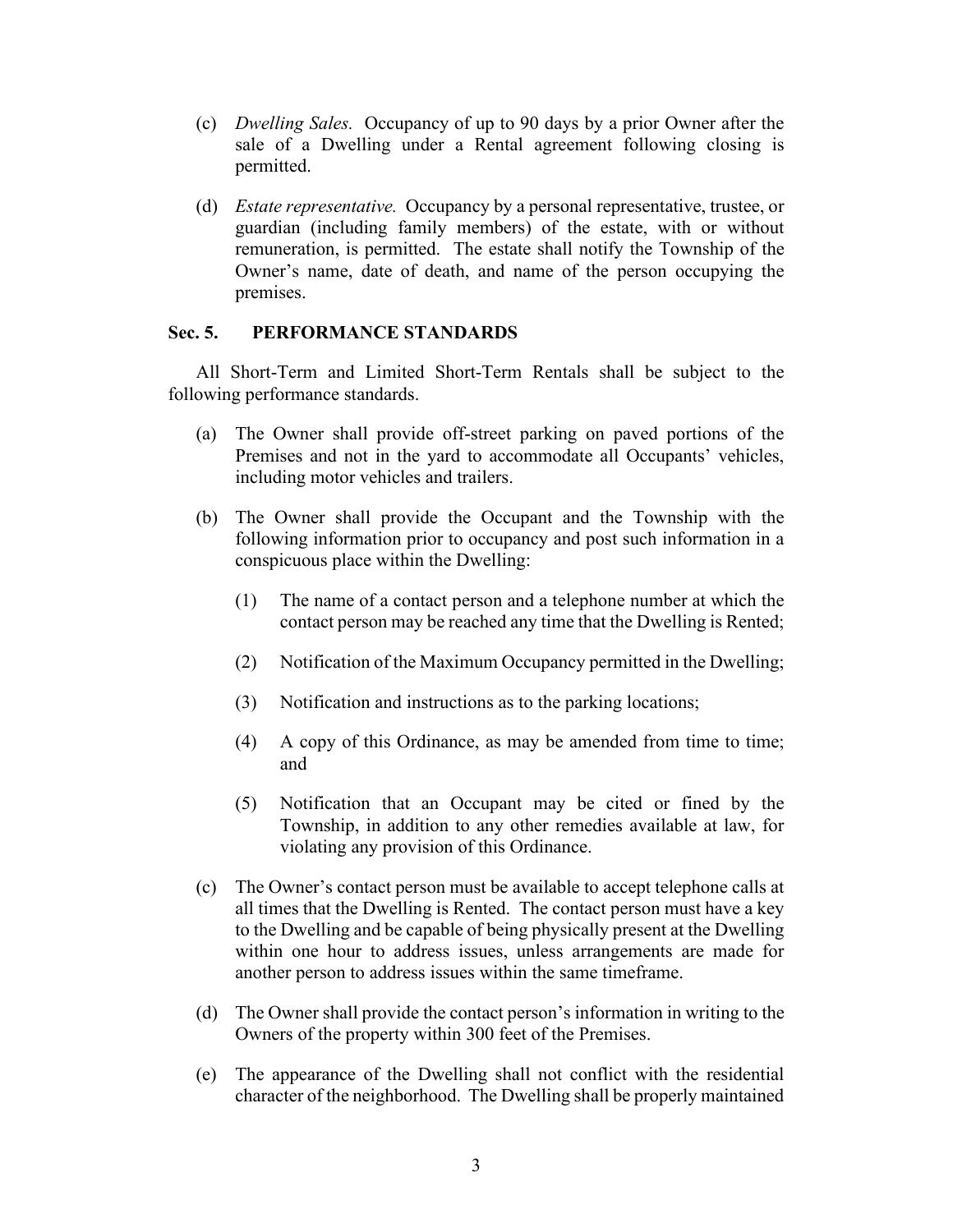- (c) *Dwelling Sales.* Occupancy of up to 90 days by a prior Owner after the sale of a Dwelling under a Rental agreement following closing is permitted.
- (d) *Estate representative.* Occupancy by a personal representative, trustee, or guardian (including family members) of the estate, with or without remuneration, is permitted. The estate shall notify the Township of the Owner's name, date of death, and name of the person occupying the premises.

## **Sec. 5. PERFORMANCE STANDARDS**

All Short-Term and Limited Short-Term Rentals shall be subject to the following performance standards.

- (a) The Owner shall provide off-street parking on paved portions of the Premises and not in the yard to accommodate all Occupants' vehicles, including motor vehicles and trailers.
- (b) The Owner shall provide the Occupant and the Township with the following information prior to occupancy and post such information in a conspicuous place within the Dwelling:
	- (1) The name of a contact person and a telephone number at which the contact person may be reached any time that the Dwelling is Rented;
	- (2) Notification of the Maximum Occupancy permitted in the Dwelling;
	- (3) Notification and instructions as to the parking locations;
	- (4) A copy of this Ordinance, as may be amended from time to time; and
	- (5) Notification that an Occupant may be cited or fined by the Township, in addition to any other remedies available at law, for violating any provision of this Ordinance.
- (c) The Owner's contact person must be available to accept telephone calls at all times that the Dwelling is Rented. The contact person must have a key to the Dwelling and be capable of being physically present at the Dwelling within one hour to address issues, unless arrangements are made for another person to address issues within the same timeframe.
- (d) The Owner shall provide the contact person's information in writing to the Owners of the property within 300 feet of the Premises.
- (e) The appearance of the Dwelling shall not conflict with the residential character of the neighborhood. The Dwelling shall be properly maintained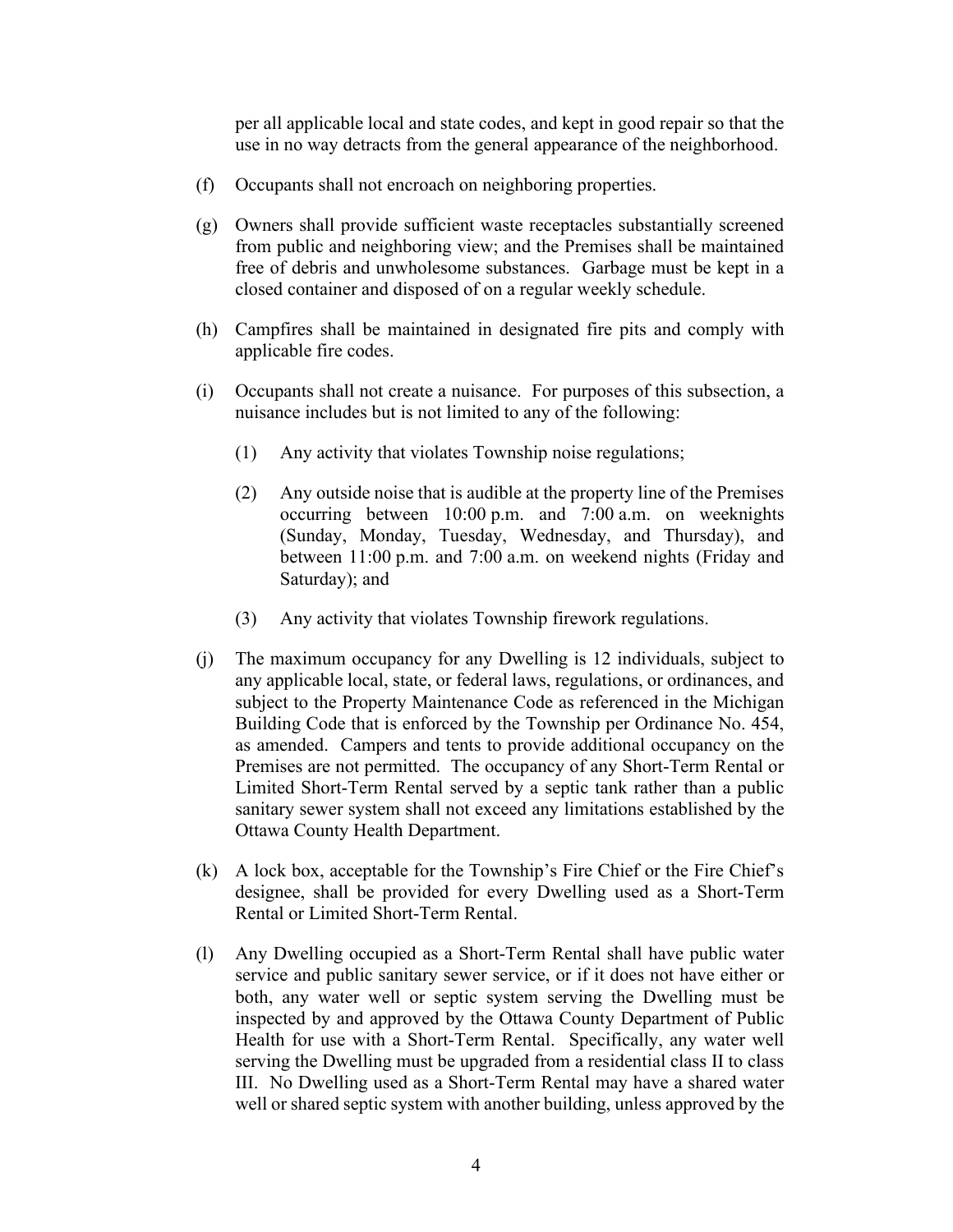per all applicable local and state codes, and kept in good repair so that the use in no way detracts from the general appearance of the neighborhood.

- (f) Occupants shall not encroach on neighboring properties.
- (g) Owners shall provide sufficient waste receptacles substantially screened from public and neighboring view; and the Premises shall be maintained free of debris and unwholesome substances. Garbage must be kept in a closed container and disposed of on a regular weekly schedule.
- (h) Campfires shall be maintained in designated fire pits and comply with applicable fire codes.
- (i) Occupants shall not create a nuisance. For purposes of this subsection, a nuisance includes but is not limited to any of the following:
	- (1) Any activity that violates Township noise regulations;
	- (2) Any outside noise that is audible at the property line of the Premises occurring between 10:00 p.m. and 7:00 a.m. on weeknights (Sunday, Monday, Tuesday, Wednesday, and Thursday), and between 11:00 p.m. and 7:00 a.m. on weekend nights (Friday and Saturday); and
	- (3) Any activity that violates Township firework regulations.
- (j) The maximum occupancy for any Dwelling is 12 individuals, subject to any applicable local, state, or federal laws, regulations, or ordinances, and subject to the Property Maintenance Code as referenced in the Michigan Building Code that is enforced by the Township per Ordinance No. 454, as amended. Campers and tents to provide additional occupancy on the Premises are not permitted. The occupancy of any Short-Term Rental or Limited Short-Term Rental served by a septic tank rather than a public sanitary sewer system shall not exceed any limitations established by the Ottawa County Health Department.
- (k) A lock box, acceptable for the Township's Fire Chief or the Fire Chief's designee, shall be provided for every Dwelling used as a Short-Term Rental or Limited Short-Term Rental.
- (l) Any Dwelling occupied as a Short-Term Rental shall have public water service and public sanitary sewer service, or if it does not have either or both, any water well or septic system serving the Dwelling must be inspected by and approved by the Ottawa County Department of Public Health for use with a Short-Term Rental. Specifically, any water well serving the Dwelling must be upgraded from a residential class II to class III. No Dwelling used as a Short-Term Rental may have a shared water well or shared septic system with another building, unless approved by the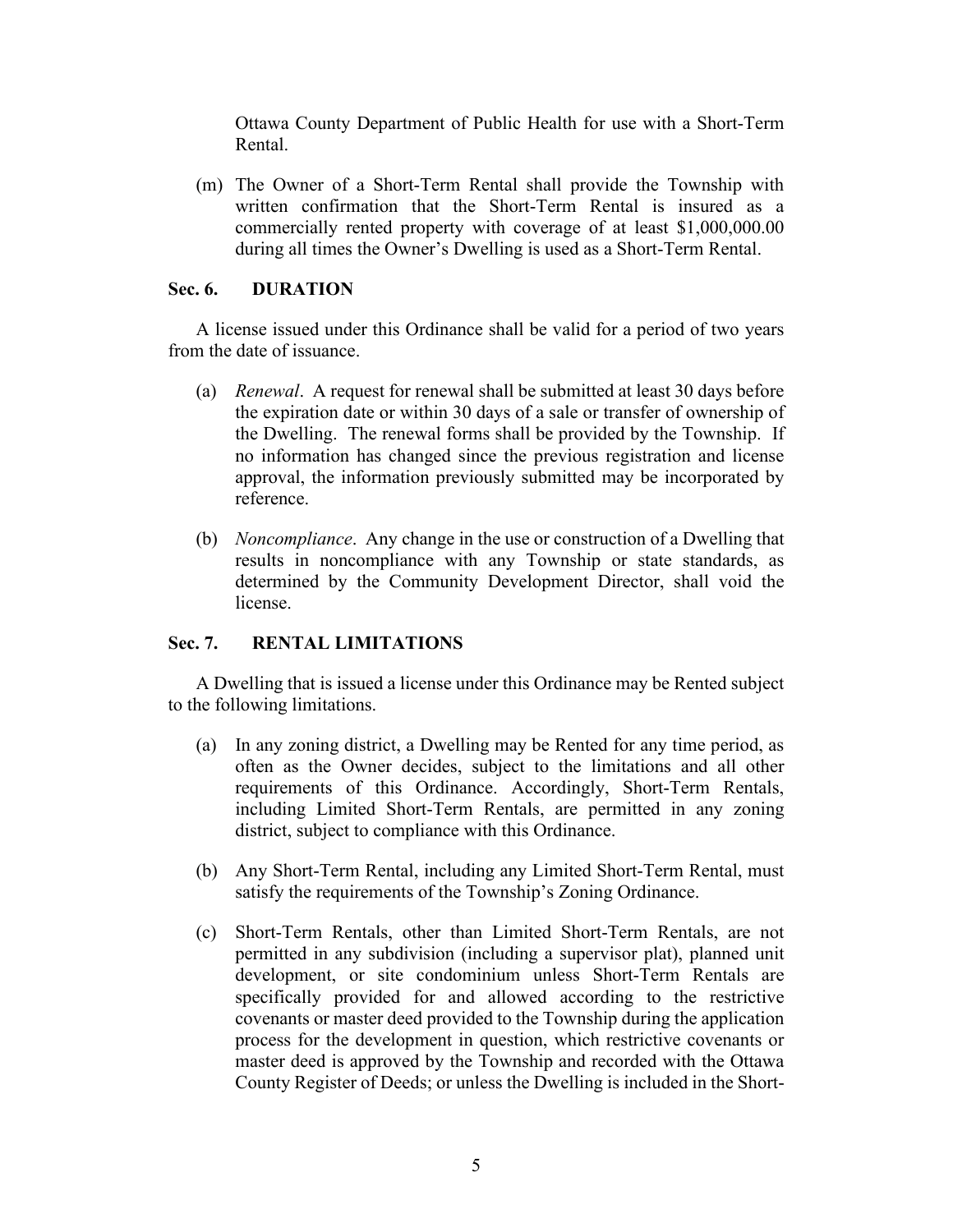Ottawa County Department of Public Health for use with a Short-Term Rental.

(m) The Owner of a Short-Term Rental shall provide the Township with written confirmation that the Short-Term Rental is insured as a commercially rented property with coverage of at least \$1,000,000.00 during all times the Owner's Dwelling is used as a Short-Term Rental.

## **Sec. 6. DURATION**

A license issued under this Ordinance shall be valid for a period of two years from the date of issuance.

- (a) *Renewal*. A request for renewal shall be submitted at least 30 days before the expiration date or within 30 days of a sale or transfer of ownership of the Dwelling. The renewal forms shall be provided by the Township. If no information has changed since the previous registration and license approval, the information previously submitted may be incorporated by reference.
- (b) *Noncompliance*.Any change in the use or construction of a Dwelling that results in noncompliance with any Township or state standards, as determined by the Community Development Director, shall void the license.

# **Sec. 7. RENTAL LIMITATIONS**

A Dwelling that is issued a license under this Ordinance may be Rented subject to the following limitations.

- (a) In any zoning district, a Dwelling may be Rented for any time period, as often as the Owner decides, subject to the limitations and all other requirements of this Ordinance. Accordingly, Short-Term Rentals, including Limited Short-Term Rentals, are permitted in any zoning district, subject to compliance with this Ordinance.
- (b) Any Short-Term Rental, including any Limited Short-Term Rental, must satisfy the requirements of the Township's Zoning Ordinance.
- (c) Short-Term Rentals, other than Limited Short-Term Rentals, are not permitted in any subdivision (including a supervisor plat), planned unit development, or site condominium unless Short-Term Rentals are specifically provided for and allowed according to the restrictive covenants or master deed provided to the Township during the application process for the development in question, which restrictive covenants or master deed is approved by the Township and recorded with the Ottawa County Register of Deeds; or unless the Dwelling is included in the Short-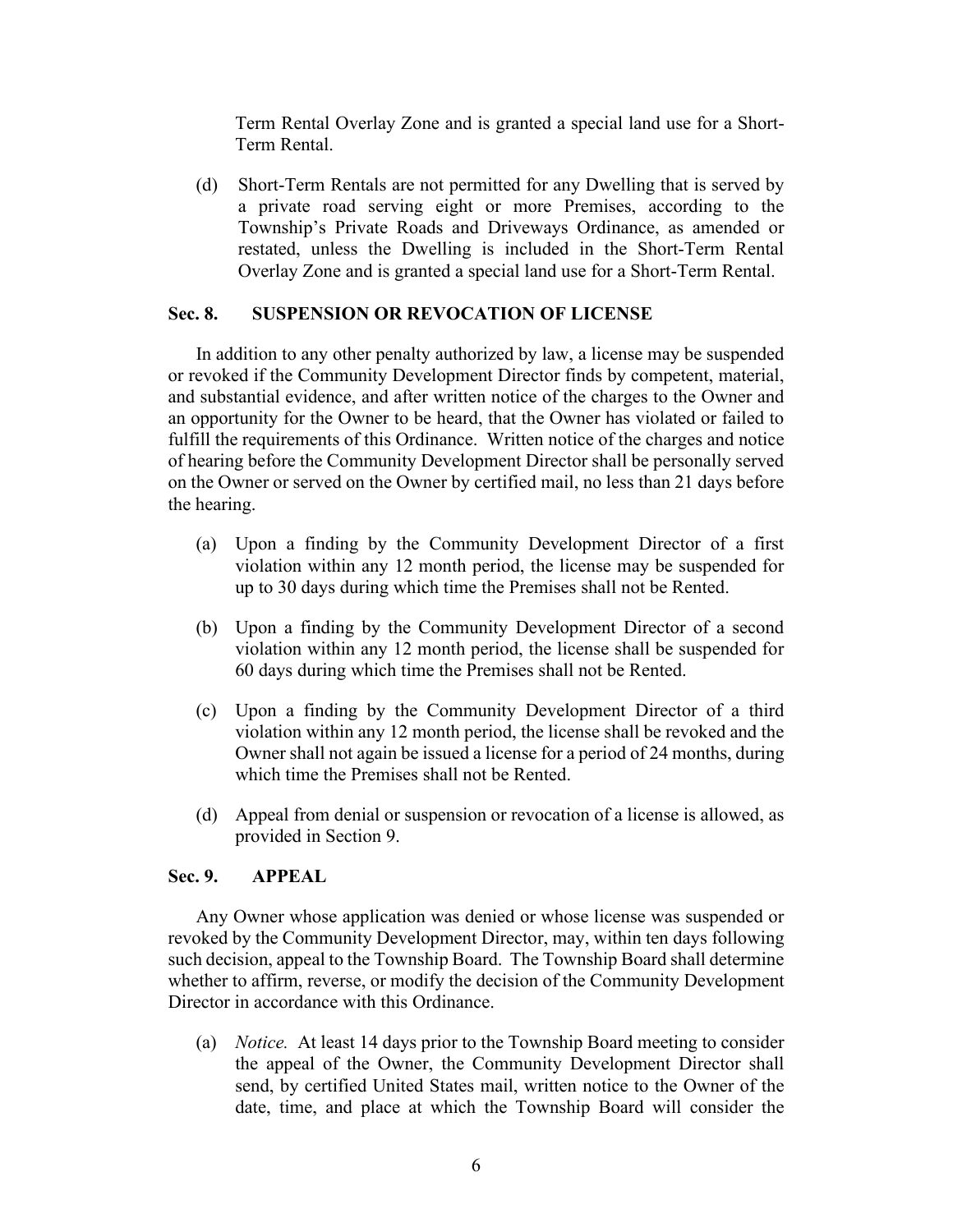Term Rental Overlay Zone and is granted a special land use for a Short-Term Rental.

(d) Short-Term Rentals are not permitted for any Dwelling that is served by a private road serving eight or more Premises, according to the Township's Private Roads and Driveways Ordinance, as amended or restated, unless the Dwelling is included in the Short-Term Rental Overlay Zone and is granted a special land use for a Short-Term Rental.

#### **Sec. 8. SUSPENSION OR REVOCATION OF LICENSE**

In addition to any other penalty authorized by law, a license may be suspended or revoked if the Community Development Director finds by competent, material, and substantial evidence, and after written notice of the charges to the Owner and an opportunity for the Owner to be heard, that the Owner has violated or failed to fulfill the requirements of this Ordinance. Written notice of the charges and notice of hearing before the Community Development Director shall be personally served on the Owner or served on the Owner by certified mail, no less than 21 days before the hearing.

- (a) Upon a finding by the Community Development Director of a first violation within any 12 month period, the license may be suspended for up to 30 days during which time the Premises shall not be Rented.
- (b) Upon a finding by the Community Development Director of a second violation within any 12 month period, the license shall be suspended for 60 days during which time the Premises shall not be Rented.
- (c) Upon a finding by the Community Development Director of a third violation within any 12 month period, the license shall be revoked and the Owner shall not again be issued a license for a period of 24 months, during which time the Premises shall not be Rented.
- (d) Appeal from denial or suspension or revocation of a license is allowed, as provided in Section 9.

#### **Sec. 9. APPEAL**

Any Owner whose application was denied or whose license was suspended or revoked by the Community Development Director, may, within ten days following such decision, appeal to the Township Board. The Township Board shall determine whether to affirm, reverse, or modify the decision of the Community Development Director in accordance with this Ordinance.

(a) *Notice.* At least 14 days prior to the Township Board meeting to consider the appeal of the Owner, the Community Development Director shall send, by certified United States mail, written notice to the Owner of the date, time, and place at which the Township Board will consider the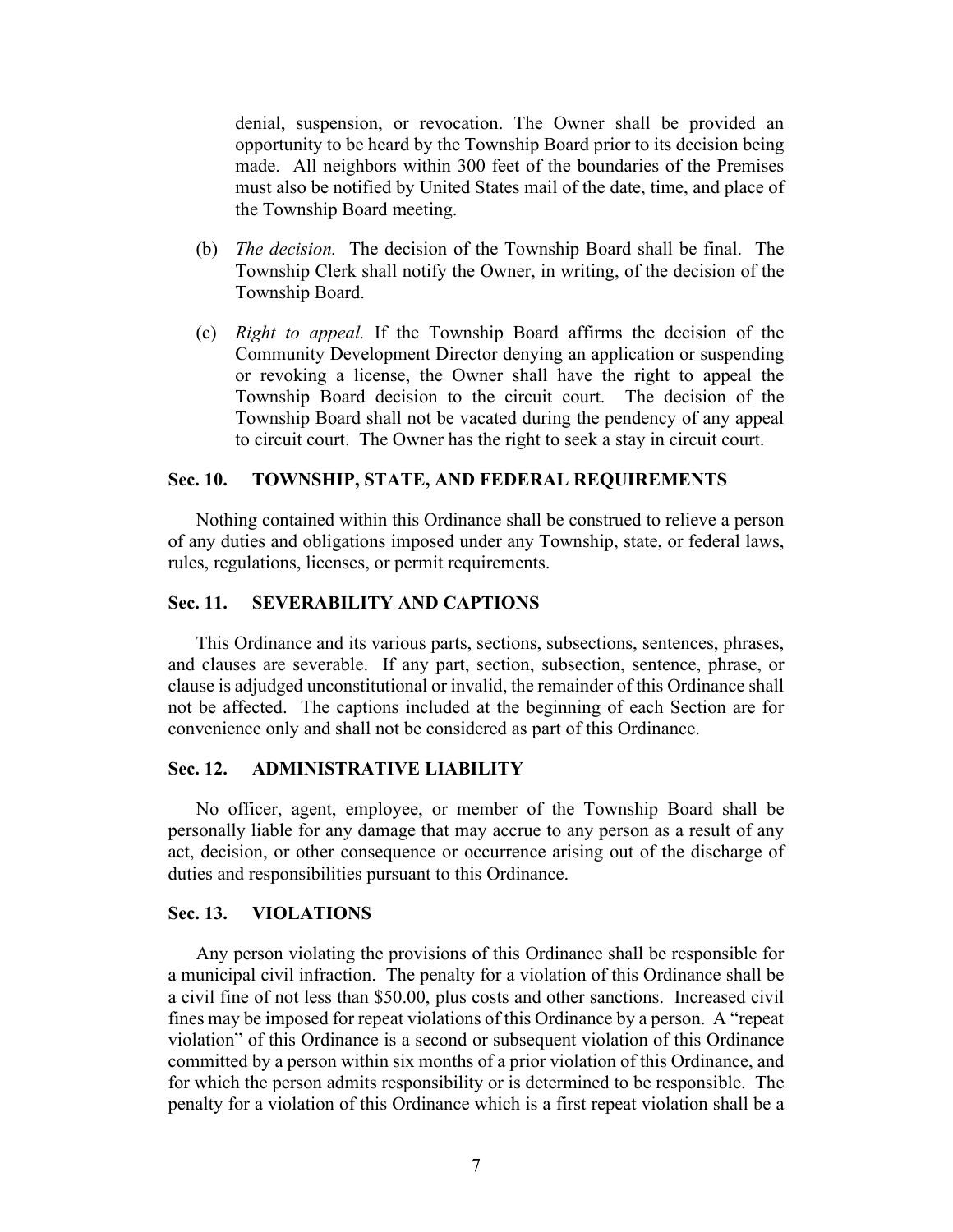denial, suspension, or revocation. The Owner shall be provided an opportunity to be heard by the Township Board prior to its decision being made. All neighbors within 300 feet of the boundaries of the Premises must also be notified by United States mail of the date, time, and place of the Township Board meeting.

- (b) *The decision.* The decision of the Township Board shall be final. The Township Clerk shall notify the Owner, in writing, of the decision of the Township Board.
- (c) *Right to appeal.* If the Township Board affirms the decision of the Community Development Director denying an application or suspending or revoking a license, the Owner shall have the right to appeal the Township Board decision to the circuit court. The decision of the Township Board shall not be vacated during the pendency of any appeal to circuit court. The Owner has the right to seek a stay in circuit court.

#### **Sec. 10. TOWNSHIP, STATE, AND FEDERAL REQUIREMENTS**

Nothing contained within this Ordinance shall be construed to relieve a person of any duties and obligations imposed under any Township, state, or federal laws, rules, regulations, licenses, or permit requirements.

#### **Sec. 11. SEVERABILITY AND CAPTIONS**

This Ordinance and its various parts, sections, subsections, sentences, phrases, and clauses are severable. If any part, section, subsection, sentence, phrase, or clause is adjudged unconstitutional or invalid, the remainder of this Ordinance shall not be affected. The captions included at the beginning of each Section are for convenience only and shall not be considered as part of this Ordinance.

#### **Sec. 12. ADMINISTRATIVE LIABILITY**

No officer, agent, employee, or member of the Township Board shall be personally liable for any damage that may accrue to any person as a result of any act, decision, or other consequence or occurrence arising out of the discharge of duties and responsibilities pursuant to this Ordinance.

#### **Sec. 13. VIOLATIONS**

Any person violating the provisions of this Ordinance shall be responsible for a municipal civil infraction. The penalty for a violation of this Ordinance shall be a civil fine of not less than \$50.00, plus costs and other sanctions. Increased civil fines may be imposed for repeat violations of this Ordinance by a person. A "repeat violation" of this Ordinance is a second or subsequent violation of this Ordinance committed by a person within six months of a prior violation of this Ordinance, and for which the person admits responsibility or is determined to be responsible. The penalty for a violation of this Ordinance which is a first repeat violation shall be a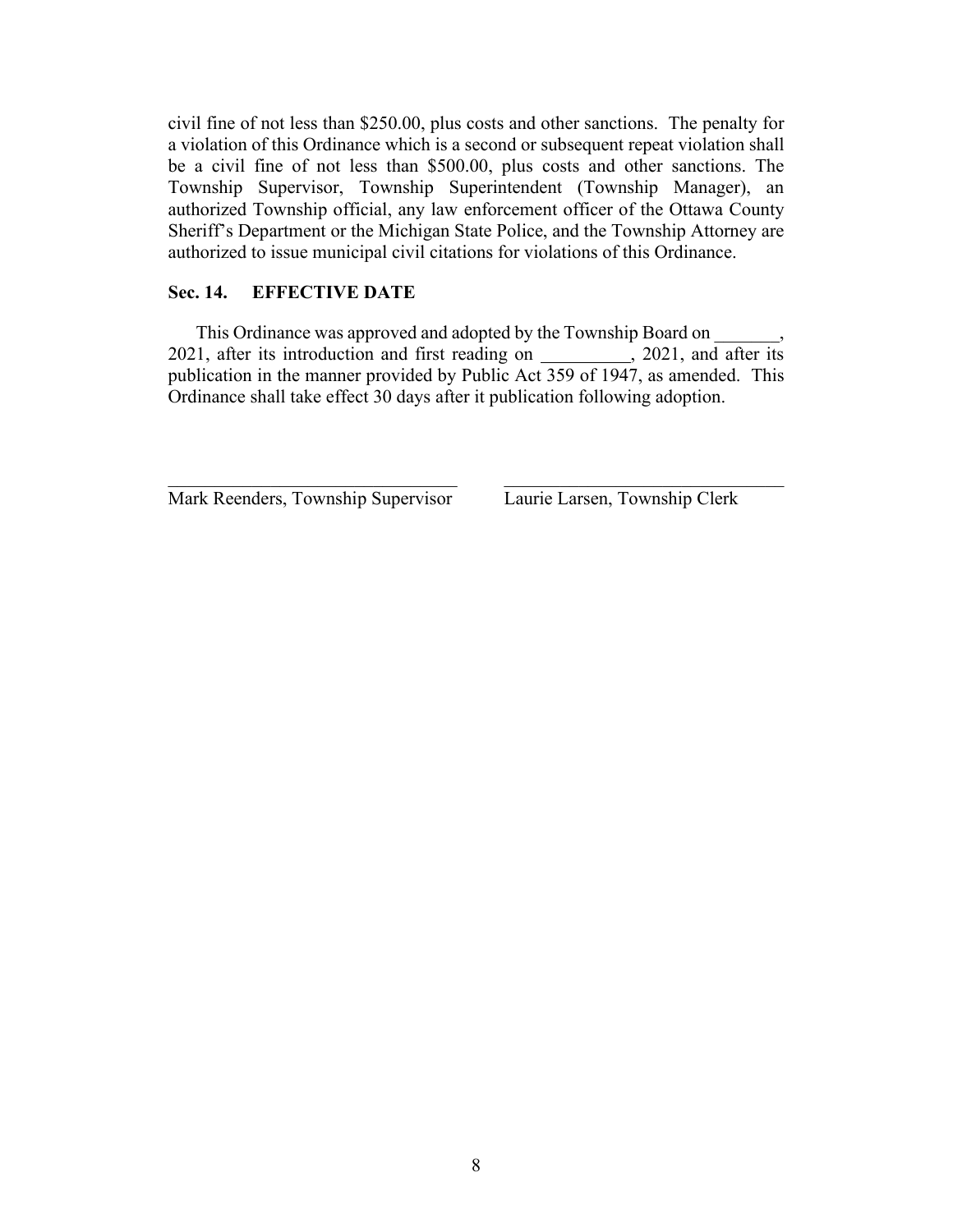civil fine of not less than \$250.00, plus costs and other sanctions. The penalty for a violation of this Ordinance which is a second or subsequent repeat violation shall be a civil fine of not less than \$500.00, plus costs and other sanctions. The Township Supervisor, Township Superintendent (Township Manager), an authorized Township official, any law enforcement officer of the Ottawa County Sheriff's Department or the Michigan State Police, and the Township Attorney are authorized to issue municipal civil citations for violations of this Ordinance.

## **Sec. 14. EFFECTIVE DATE**

This Ordinance was approved and adopted by the Township Board on 2021, after its introduction and first reading on \_\_\_\_\_\_\_\_\_, 2021, and after its publication in the manner provided by Public Act 359 of 1947, as amended. This Ordinance shall take effect 30 days after it publication following adoption.

 $\mathcal{L}_\text{max}$  , and the contribution of the contribution of the contribution of the contribution of the contribution of the contribution of the contribution of the contribution of the contribution of the contribution of t

Mark Reenders, Township Supervisor Laurie Larsen, Township Clerk